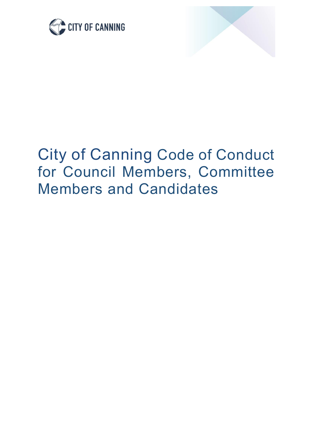



# City of Canning Code of Conduct for Council Members, Committee Members and Candidates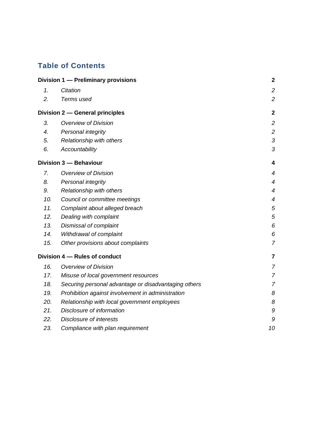# **Table of Contents**

| Division 1 - Preliminary provisions |                                                      | $\mathbf{2}$   |
|-------------------------------------|------------------------------------------------------|----------------|
| 1.                                  | Citation                                             | $\overline{c}$ |
| 2.                                  | Terms used                                           | $\overline{2}$ |
|                                     | Division 2 - General principles                      | $\mathbf{2}$   |
| 3.                                  | <b>Overview of Division</b>                          | $\overline{2}$ |
| $\overline{4}$ .                    | Personal integrity                                   | $\overline{c}$ |
| 5.                                  | Relationship with others                             | 3              |
| 6.                                  | Accountability                                       | 3              |
|                                     | Division 3 - Behaviour                               | 4              |
| 7.                                  | <b>Overview of Division</b>                          | 4              |
| 8.                                  | Personal integrity                                   | $\overline{4}$ |
| 9.                                  | Relationship with others                             | $\overline{4}$ |
| 10.                                 | Council or committee meetings                        | $\overline{4}$ |
| 11.                                 | Complaint about alleged breach                       | 5              |
| 12.                                 | Dealing with complaint                               | 5              |
| 13.                                 | Dismissal of complaint                               | 6              |
| 14.                                 | Withdrawal of complaint                              | 6              |
| 15.                                 | Other provisions about complaints                    | $\overline{7}$ |
| Division 4 - Rules of conduct       |                                                      | 7              |
| 16.                                 | <b>Overview of Division</b>                          | $\overline{7}$ |
| 17.                                 | Misuse of local government resources                 | $\overline{7}$ |
| 18.                                 | Securing personal advantage or disadvantaging others | $\overline{7}$ |
| 19.                                 | Prohibition against involvement in administration    | 8              |
| 20.                                 | Relationship with local government employees         | 8              |
| 21.                                 | Disclosure of information                            | 9              |
| 22.                                 | <b>Disclosure of interests</b>                       | 9              |
| 23.                                 | Compliance with plan requirement                     | 10             |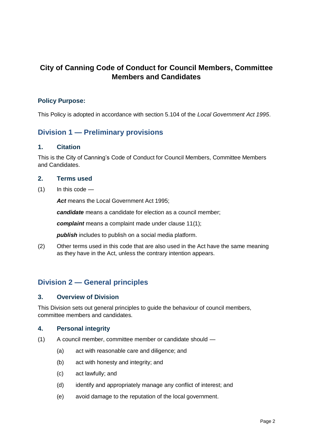# **City of Canning Code of Conduct for Council Members, Committee Members and Candidates**

## **Policy Purpose:**

This Policy is adopted in accordance with section 5.104 of the *Local Government Act 1995*.

# <span id="page-2-0"></span>**Division 1 — Preliminary provisions**

#### <span id="page-2-1"></span>**1. Citation**

This is the City of Canning's Code of Conduct for Council Members, Committee Members and Candidates.

#### <span id="page-2-2"></span>**2. Terms used**

 $(1)$  In this code —

*Act* means the Local Government Act 1995;

*candidate* means a candidate for election as a council member;

*complaint* means a complaint made under clause 11(1);

*publish* includes to publish on a social media platform.

(2) Other terms used in this code that are also used in the Act have the same meaning as they have in the Act, unless the contrary intention appears.

# <span id="page-2-3"></span>**Division 2 — General principles**

#### <span id="page-2-4"></span>**3. Overview of Division**

This Division sets out general principles to guide the behaviour of council members, committee members and candidates.

#### <span id="page-2-5"></span>**4. Personal integrity**

- (1) A council member, committee member or candidate should
	- (a) act with reasonable care and diligence; and
	- (b) act with honesty and integrity; and
	- (c) act lawfully; and
	- (d) identify and appropriately manage any conflict of interest; and
	- (e) avoid damage to the reputation of the local government.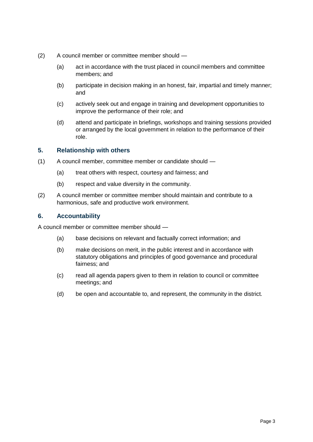- (2) A council member or committee member should
	- (a) act in accordance with the trust placed in council members and committee members; and
	- (b) participate in decision making in an honest, fair, impartial and timely manner; and
	- (c) actively seek out and engage in training and development opportunities to improve the performance of their role; and
	- (d) attend and participate in briefings, workshops and training sessions provided or arranged by the local government in relation to the performance of their role.

# <span id="page-3-0"></span>**5. Relationship with others**

- (1) A council member, committee member or candidate should
	- (a) treat others with respect, courtesy and fairness; and
	- (b) respect and value diversity in the community.
- (2) A council member or committee member should maintain and contribute to a harmonious, safe and productive work environment.

# <span id="page-3-1"></span>**6. Accountability**

A council member or committee member should —

- (a) base decisions on relevant and factually correct information; and
- (b) make decisions on merit, in the public interest and in accordance with statutory obligations and principles of good governance and procedural fairness; and
- (c) read all agenda papers given to them in relation to council or committee meetings; and
- (d) be open and accountable to, and represent, the community in the district.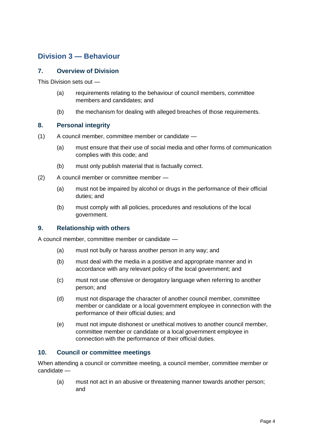# <span id="page-4-0"></span>**Division 3 — Behaviour**

## <span id="page-4-1"></span>**7. Overview of Division**

This Division sets out —

- (a) requirements relating to the behaviour of council members, committee members and candidates; and
- (b) the mechanism for dealing with alleged breaches of those requirements.

## <span id="page-4-2"></span>**8. Personal integrity**

- (1) A council member, committee member or candidate
	- (a) must ensure that their use of social media and other forms of communication complies with this code; and
	- (b) must only publish material that is factually correct.
- (2) A council member or committee member
	- (a) must not be impaired by alcohol or drugs in the performance of their official duties; and
	- (b) must comply with all policies, procedures and resolutions of the local government.

## <span id="page-4-3"></span>**9. Relationship with others**

A council member, committee member or candidate —

- (a) must not bully or harass another person in any way; and
- (b) must deal with the media in a positive and appropriate manner and in accordance with any relevant policy of the local government; and
- (c) must not use offensive or derogatory language when referring to another person; and
- (d) must not disparage the character of another council member, committee member or candidate or a local government employee in connection with the performance of their official duties; and
- (e) must not impute dishonest or unethical motives to another council member, committee member or candidate or a local government employee in connection with the performance of their official duties.

#### <span id="page-4-4"></span>**10. Council or committee meetings**

When attending a council or committee meeting, a council member, committee member or candidate —

(a) must not act in an abusive or threatening manner towards another person; and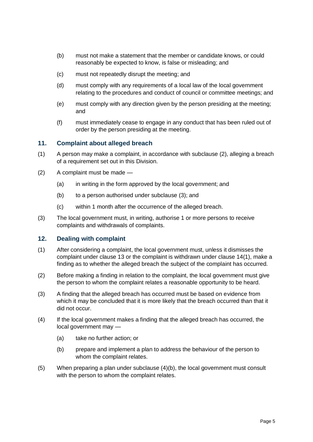- (b) must not make a statement that the member or candidate knows, or could reasonably be expected to know, is false or misleading; and
- (c) must not repeatedly disrupt the meeting; and
- (d) must comply with any requirements of a local law of the local government relating to the procedures and conduct of council or committee meetings; and
- (e) must comply with any direction given by the person presiding at the meeting; and
- (f) must immediately cease to engage in any conduct that has been ruled out of order by the person presiding at the meeting.

#### <span id="page-5-0"></span>**11. Complaint about alleged breach**

- (1) A person may make a complaint, in accordance with subclause (2), alleging a breach of a requirement set out in this Division.
- (2) A complaint must be made
	- (a) in writing in the form approved by the local government; and
	- (b) to a person authorised under subclause (3); and
	- (c) within 1 month after the occurrence of the alleged breach.
- (3) The local government must, in writing, authorise 1 or more persons to receive complaints and withdrawals of complaints.

#### <span id="page-5-1"></span>**12. Dealing with complaint**

- (1) After considering a complaint, the local government must, unless it dismisses the complaint under clause 13 or the complaint is withdrawn under clause 14(1), make a finding as to whether the alleged breach the subject of the complaint has occurred.
- (2) Before making a finding in relation to the complaint, the local government must give the person to whom the complaint relates a reasonable opportunity to be heard.
- (3) A finding that the alleged breach has occurred must be based on evidence from which it may be concluded that it is more likely that the breach occurred than that it did not occur.
- (4) If the local government makes a finding that the alleged breach has occurred, the local government may —
	- (a) take no further action; or
	- (b) prepare and implement a plan to address the behaviour of the person to whom the complaint relates.
- (5) When preparing a plan under subclause (4)(b), the local government must consult with the person to whom the complaint relates.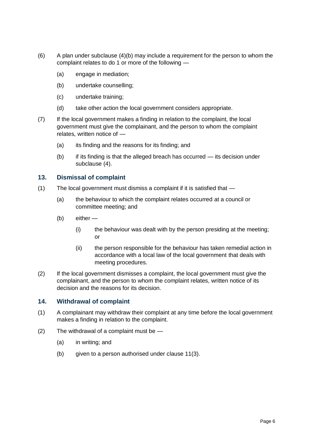- $(6)$  A plan under subclause  $(4)(b)$  may include a requirement for the person to whom the complaint relates to do 1 or more of the following —
	- (a) engage in mediation;
	- (b) undertake counselling;
	- (c) undertake training;
	- (d) take other action the local government considers appropriate.
- (7) If the local government makes a finding in relation to the complaint, the local government must give the complainant, and the person to whom the complaint relates, written notice of —
	- (a) its finding and the reasons for its finding; and
	- (b) if its finding is that the alleged breach has occurred its decision under subclause (4).

# <span id="page-6-0"></span>**13. Dismissal of complaint**

- (1) The local government must dismiss a complaint if it is satisfied that
	- (a) the behaviour to which the complaint relates occurred at a council or committee meeting; and
	- (b) either
		- (i) the behaviour was dealt with by the person presiding at the meeting; or
		- (ii) the person responsible for the behaviour has taken remedial action in accordance with a local law of the local government that deals with meeting procedures.
- (2) If the local government dismisses a complaint, the local government must give the complainant, and the person to whom the complaint relates, written notice of its decision and the reasons for its decision.

## <span id="page-6-1"></span>**14. Withdrawal of complaint**

- (1) A complainant may withdraw their complaint at any time before the local government makes a finding in relation to the complaint.
- (2) The withdrawal of a complaint must be
	- (a) in writing; and
	- (b) given to a person authorised under clause 11(3).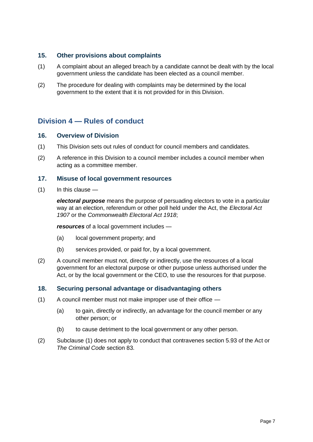#### <span id="page-7-0"></span>**15. Other provisions about complaints**

- (1) A complaint about an alleged breach by a candidate cannot be dealt with by the local government unless the candidate has been elected as a council member.
- (2) The procedure for dealing with complaints may be determined by the local government to the extent that it is not provided for in this Division.

# <span id="page-7-1"></span>**Division 4 — Rules of conduct**

#### <span id="page-7-2"></span>**16. Overview of Division**

- (1) This Division sets out rules of conduct for council members and candidates.
- (2) A reference in this Division to a council member includes a council member when acting as a committee member.

#### <span id="page-7-3"></span>**17. Misuse of local government resources**

 $(1)$  In this clause —

*electoral purpose* means the purpose of persuading electors to vote in a particular way at an election, referendum or other poll held under the Act, the *Electoral Act 1907* or the *Commonwealth Electoral Act 1918*;

*resources* of a local government includes —

- (a) local government property; and
- (b) services provided, or paid for, by a local government.
- (2) A council member must not, directly or indirectly, use the resources of a local government for an electoral purpose or other purpose unless authorised under the Act, or by the local government or the CEO, to use the resources for that purpose.

#### <span id="page-7-4"></span>**18. Securing personal advantage or disadvantaging others**

- (1) A council member must not make improper use of their office
	- (a) to gain, directly or indirectly, an advantage for the council member or any other person; or
	- (b) to cause detriment to the local government or any other person.
- (2) Subclause (1) does not apply to conduct that contravenes section 5.93 of the Act or *The Criminal Code* section 83.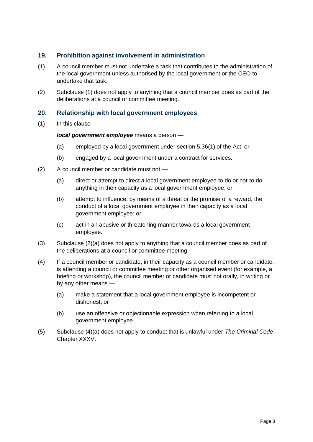## <span id="page-8-0"></span>**19. Prohibition against involvement in administration**

- (1) A council member must not undertake a task that contributes to the administration of the local government unless authorised by the local government or the CEO to undertake that task.
- (2) Subclause (1) does not apply to anything that a council member does as part of the deliberations at a council or committee meeting.

## <span id="page-8-1"></span>**20. Relationship with local government employees**

 $(1)$  In this clause —

#### *local government employee* means a person —

- (a) employed by a local government under section 5.36(1) of the Act; or
- (b) engaged by a local government under a contract for services.
- (2) A council member or candidate must not
	- (a) direct or attempt to direct a local government employee to do or not to do anything in their capacity as a local government employee; or
	- (b) attempt to influence, by means of a threat or the promise of a reward, the conduct of a local government employee in their capacity as a local government employee; or
	- (c) act in an abusive or threatening manner towards a local government employee.
- (3) Subclause (2)(a) does not apply to anything that a council member does as part of the deliberations at a council or committee meeting.
- (4) If a council member or candidate, in their capacity as a council member or candidate, is attending a council or committee meeting or other organised event (for example, a briefing or workshop), the council member or candidate must not orally, in writing or by any other means —
	- (a) make a statement that a local government employee is incompetent or dishonest; or
	- (b) use an offensive or objectionable expression when referring to a local government employee.
- (5) Subclause (4)(a) does not apply to conduct that is unlawful under *The Criminal Code* Chapter XXXV.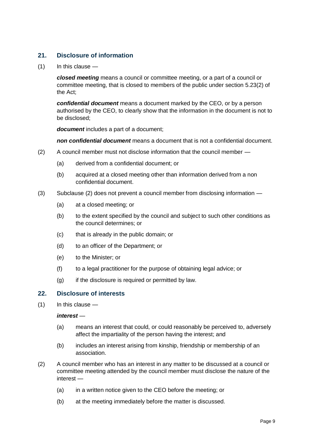# <span id="page-9-0"></span>**21. Disclosure of information**

(1) In this clause —

*closed meeting* means a council or committee meeting, or a part of a council or committee meeting, that is closed to members of the public under section 5.23(2) of the Act;

*confidential document* means a document marked by the CEO, or by a person authorised by the CEO, to clearly show that the information in the document is not to be disclosed;

*document* includes a part of a document;

*non confidential document* means a document that is not a confidential document.

- (2) A council member must not disclose information that the council member
	- (a) derived from a confidential document; or
	- (b) acquired at a closed meeting other than information derived from a non confidential document.
- (3) Subclause (2) does not prevent a council member from disclosing information
	- (a) at a closed meeting; or
	- (b) to the extent specified by the council and subject to such other conditions as the council determines; or
	- (c) that is already in the public domain; or
	- (d) to an officer of the Department; or
	- (e) to the Minister; or
	- (f) to a legal practitioner for the purpose of obtaining legal advice; or
	- $(q)$  if the disclosure is required or permitted by law.

#### <span id="page-9-1"></span>**22. Disclosure of interests**

(1) In this clause —

#### *interest* —

- (a) means an interest that could, or could reasonably be perceived to, adversely affect the impartiality of the person having the interest; and
- (b) includes an interest arising from kinship, friendship or membership of an association.
- (2) A council member who has an interest in any matter to be discussed at a council or committee meeting attended by the council member must disclose the nature of the interest —
	- (a) in a written notice given to the CEO before the meeting; or
	- (b) at the meeting immediately before the matter is discussed.